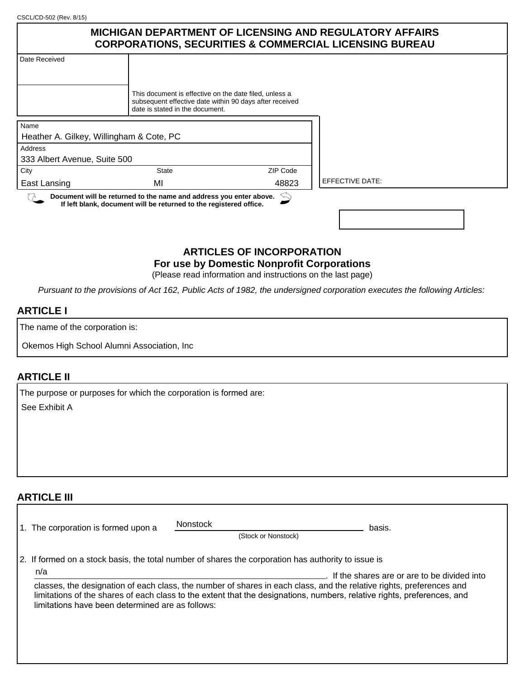CSCL/CD-502 (Rev. 8/15)

|                              | <b>MICHIGAN DEPARTMENT OF LICENSING AND REGULATORY AFFAIRS</b><br><b>CORPORATIONS, SECURITIES &amp; COMMERCIAL LICENSING BUREAU</b>                  |          |                        |  |
|------------------------------|------------------------------------------------------------------------------------------------------------------------------------------------------|----------|------------------------|--|
| Date Received                |                                                                                                                                                      |          |                        |  |
|                              |                                                                                                                                                      |          |                        |  |
|                              | This document is effective on the date filed, unless a<br>subsequent effective date within 90 days after received<br>date is stated in the document. |          |                        |  |
| Name                         |                                                                                                                                                      |          |                        |  |
|                              | Heather A. Gilkey, Willingham & Cote, PC                                                                                                             |          |                        |  |
| Address                      |                                                                                                                                                      |          |                        |  |
| 333 Albert Avenue, Suite 500 |                                                                                                                                                      |          |                        |  |
| City                         | <b>State</b>                                                                                                                                         | ZIP Code |                        |  |
| East Lansing                 | MI                                                                                                                                                   | 48823    | <b>EFFECTIVE DATE:</b> |  |
|                              | Document will be returned to the name and address you enter above.<br>If left blank, document will be returned to the registered office.             |          |                        |  |
|                              |                                                                                                                                                      |          |                        |  |

#### **ARTICLES OF INCORPORATION For use by Domestic Nonprofit Corporations**

(Please read information and instructions on the last page)

*Pursuant to the provisions of Act 162, Public Acts of 1982, the undersigned corporation executes the following Articles:*

#### **ARTICLE I**

The name of the corporation is:

Okemos High School Alumni Association, Inc

#### **ARTICLE II**

The purpose or purposes for which the corporation is formed are: See Exhibit A

# **ARTICLE III**

|                                                                                                     | 1. The corporation is formed upon a                                                                                                                                                                                                                                                                                                                       | <b>Nonstock</b> | (Stock or Nonstock) | basis. |
|-----------------------------------------------------------------------------------------------------|-----------------------------------------------------------------------------------------------------------------------------------------------------------------------------------------------------------------------------------------------------------------------------------------------------------------------------------------------------------|-----------------|---------------------|--------|
| 2. If formed on a stock basis, the total number of shares the corporation has authority to issue is |                                                                                                                                                                                                                                                                                                                                                           |                 |                     |        |
|                                                                                                     | n/a<br>If the shares are or are to be divided into<br>classes, the designation of each class, the number of shares in each class, and the relative rights, preferences and<br>limitations of the shares of each class to the extent that the designations, numbers, relative rights, preferences, and<br>limitations have been determined are as follows: |                 |                     |        |
|                                                                                                     |                                                                                                                                                                                                                                                                                                                                                           |                 |                     |        |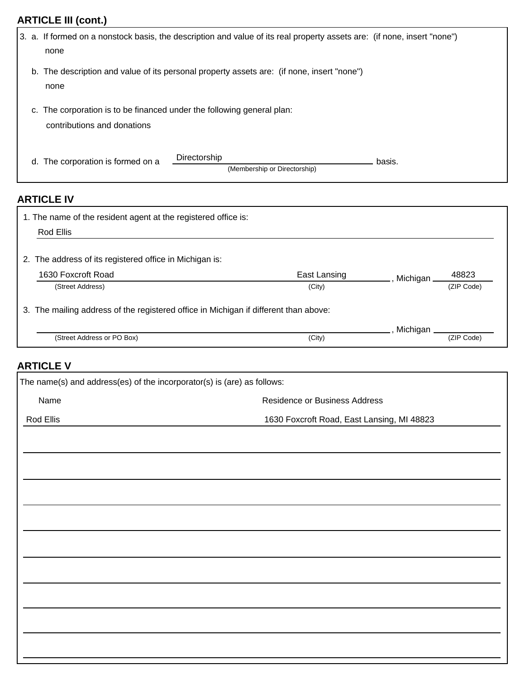# **ARTICLE III (cont.)**

|                                                                                                          | 3. a. If formed on a nonstock basis, the description and value of its real property assets are: (if none, insert "none")<br>none |        |  |
|----------------------------------------------------------------------------------------------------------|----------------------------------------------------------------------------------------------------------------------------------|--------|--|
|                                                                                                          | b. The description and value of its personal property assets are: (if none, insert "none")<br>none                               |        |  |
| The corporation is to be financed under the following general plan:<br>c.<br>contributions and donations |                                                                                                                                  |        |  |
| d.                                                                                                       | Directorship<br>The corporation is formed on a<br>(Membership or Directorship)                                                   | basis. |  |

# **ARTICLE IV**

| 1. The name of the resident agent at the registered office is:                       |              |                   |  |  |
|--------------------------------------------------------------------------------------|--------------|-------------------|--|--|
| Rod Ellis                                                                            |              |                   |  |  |
| 2. The address of its registered office in Michigan is:                              |              |                   |  |  |
| 1630 Foxcroft Road                                                                   | East Lansing | 48823<br>Michigan |  |  |
| (Street Address)                                                                     | (City)       | (ZIP Code)        |  |  |
| 3. The mailing address of the registered office in Michigan if different than above: |              |                   |  |  |
|                                                                                      |              | Michigan          |  |  |
| (Street Address or PO Box)                                                           | (City)       | (ZIP Code)        |  |  |

# **ARTICLE V**

| The name(s) and address(es) of the incorporator(s) is (are) as follows: |                               |  |  |
|-------------------------------------------------------------------------|-------------------------------|--|--|
| Name                                                                    | Residence or Business Address |  |  |
| 1630 Foxcroft Road, East Lansing, MI 48823<br>Rod Ellis                 |                               |  |  |
|                                                                         |                               |  |  |
|                                                                         |                               |  |  |
|                                                                         |                               |  |  |
|                                                                         |                               |  |  |
|                                                                         |                               |  |  |
|                                                                         |                               |  |  |
|                                                                         |                               |  |  |
|                                                                         |                               |  |  |
|                                                                         |                               |  |  |
|                                                                         |                               |  |  |
|                                                                         |                               |  |  |
|                                                                         |                               |  |  |
|                                                                         |                               |  |  |
|                                                                         |                               |  |  |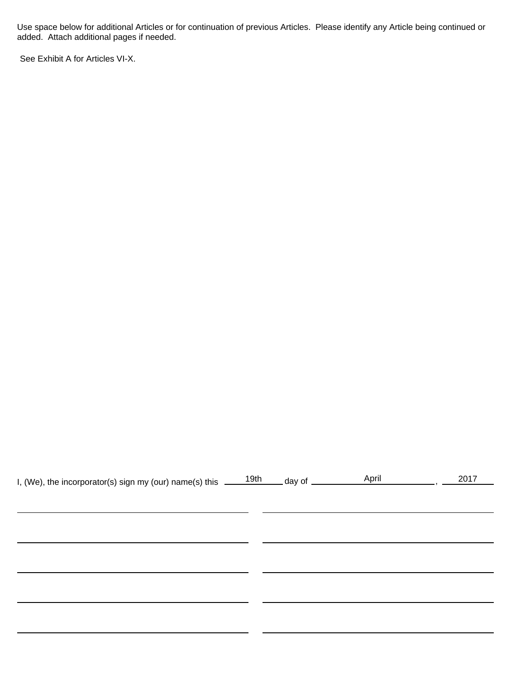Use space below for additional Articles or for continuation of previous Articles. Please identify any Article being continued or added. Attach additional pages if needed.

See Exhibit A for Articles VI-X.

| I, (We), the incorporator(s) sign my (our) name(s) this $\frac{19th}{190}$ day of $\frac{19th}{190}$ |  | April | 2017 |
|------------------------------------------------------------------------------------------------------|--|-------|------|
|                                                                                                      |  |       |      |
|                                                                                                      |  |       |      |
|                                                                                                      |  |       |      |
|                                                                                                      |  |       |      |
|                                                                                                      |  |       |      |
|                                                                                                      |  |       |      |
|                                                                                                      |  |       |      |
|                                                                                                      |  |       |      |
|                                                                                                      |  |       |      |
|                                                                                                      |  |       |      |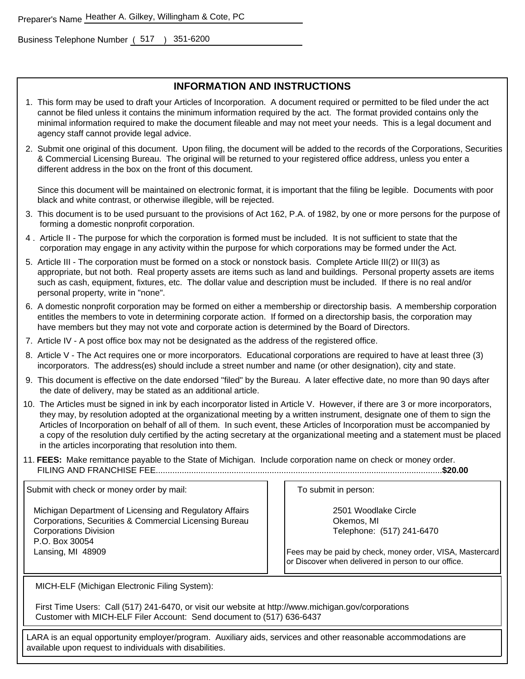Business Telephone Number (517 ) 351-6200

#### **INFORMATION AND INSTRUCTIONS**

- 1. This form may be used to draft your Articles of Incorporation. A document required or permitted to be filed under the act cannot be filed unless it contains the minimum information required by the act. The format provided contains only the minimal information required to make the document fileable and may not meet your needs. This is a legal document and agency staff cannot provide legal advice.
- 2. Submit one original of this document. Upon filing, the document will be added to the records of the Corporations, Securities & Commercial Licensing Bureau. The original will be returned to your registered office address, unless you enter a different address in the box on the front of this document.

Since this document will be maintained on electronic format, it is important that the filing be legible. Documents with poor black and white contrast, or otherwise illegible, will be rejected.

- 3. This document is to be used pursuant to the provisions of Act 162, P.A. of 1982, by one or more persons for the purpose of forming a domestic nonprofit corporation.
- 4 . Article II The purpose for which the corporation is formed must be included. It is not sufficient to state that the corporation may engage in any activity within the purpose for which corporations may be formed under the Act.
- 5. Article III The corporation must be formed on a stock or nonstock basis. Complete Article III(2) or III(3) as appropriate, but not both. Real property assets are items such as land and buildings. Personal property assets are items such as cash, equipment, fixtures, etc. The dollar value and description must be included. If there is no real and/or personal property, write in "none".
- 6. A domestic nonprofit corporation may be formed on either a membership or directorship basis. A membership corporation entitles the members to vote in determining corporate action. If formed on a directorship basis, the corporation may have members but they may not vote and corporate action is determined by the Board of Directors.
- 7. Article IV A post office box may not be designated as the address of the registered office.
- 8. Article V The Act requires one or more incorporators. Educational corporations are required to have at least three (3) incorporators. The address(es) should include a street number and name (or other designation), city and state.
- 9. This document is effective on the date endorsed "filed" by the Bureau. A later effective date, no more than 90 days after the date of delivery, may be stated as an additional article.
- 10. The Articles must be signed in ink by each incorporator listed in Article V. However, if there are 3 or more incorporators, they may, by resolution adopted at the organizational meeting by a written instrument, designate one of them to sign the Articles of Incorporation on behalf of all of them. In such event, these Articles of Incorporation must be accompanied by a copy of the resolution duly certified by the acting secretary at the organizational meeting and a statement must be placed in the articles incorporating that resolution into them.
- 11. **FEES:** Make remittance payable to the State of Michigan. Include corporation name on check or money order. FILING AND FRANCHISE FEE.........................................................................................................................**\$20.00**

Submit with check or money order by mail:

 Michigan Department of Licensing and Regulatory Affairs Corporations, Securities & Commercial Licensing Bureau Corporations Division P.O. Box 30054 Lansing, MI 48909

To submit in person:

2501 Woodlake Circle Okemos, MI Telephone: (517) 241-6470

Fees may be paid by check, money order, VISA, Mastercard or Discover when delivered in person to our office.

MICH-ELF (Michigan Electronic Filing System):

First Time Users: Call (517) 241-6470, or visit our website at http://www.michigan.gov/corporations Customer with MICH-ELF Filer Account: Send document to (517) 636-6437

LARA is an equal opportunity employer/program. Auxiliary aids, services and other reasonable accommodations are available upon request to individuals with disabilities.